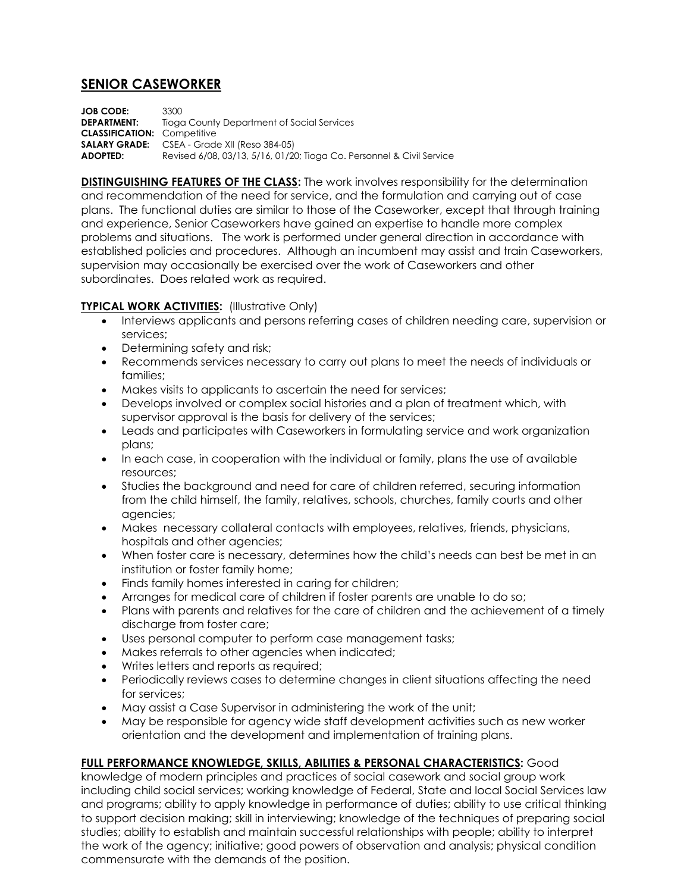# **SENIOR CASEWORKER**

**JOB CODE:** 3300 **DEPARTMENT:** Tioga County Department of Social Services **CLASSIFICATION:** Competitive **SALARY GRADE:** CSEA - Grade XII (Reso 384-05) **ADOPTED:** Revised 6/08, 03/13, 5/16, 01/20; Tioga Co. Personnel & Civil Service

**DISTINGUISHING FEATURES OF THE CLASS:** The work involves responsibility for the determination and recommendation of the need for service, and the formulation and carrying out of case plans. The functional duties are similar to those of the Caseworker, except that through training and experience, Senior Caseworkers have gained an expertise to handle more complex problems and situations. The work is performed under general direction in accordance with established policies and procedures. Although an incumbent may assist and train Caseworkers, supervision may occasionally be exercised over the work of Caseworkers and other subordinates. Does related work as required.

## **TYPICAL WORK ACTIVITIES: (Illustrative Only)**

- Interviews applicants and persons referring cases of children needing care, supervision or services;
- Determining safety and risk;
- Recommends services necessary to carry out plans to meet the needs of individuals or families;
- Makes visits to applicants to ascertain the need for services;
- Develops involved or complex social histories and a plan of treatment which, with supervisor approval is the basis for delivery of the services;
- Leads and participates with Caseworkers in formulating service and work organization plans;
- In each case, in cooperation with the individual or family, plans the use of available resources;
- Studies the background and need for care of children referred, securing information from the child himself, the family, relatives, schools, churches, family courts and other agencies;
- Makes necessary collateral contacts with employees, relatives, friends, physicians, hospitals and other agencies;
- When foster care is necessary, determines how the child's needs can best be met in an institution or foster family home;
- Finds family homes interested in caring for children;
- Arranges for medical care of children if foster parents are unable to do so;
- Plans with parents and relatives for the care of children and the achievement of a timely discharge from foster care;
- Uses personal computer to perform case management tasks;
- Makes referrals to other agencies when indicated;
- Writes letters and reports as required;
- Periodically reviews cases to determine changes in client situations affecting the need for services;
- May assist a Case Supervisor in administering the work of the unit;
- May be responsible for agency wide staff development activities such as new worker orientation and the development and implementation of training plans.

## **FULL PERFORMANCE KNOWLEDGE, SKILLS, ABILITIES & PERSONAL CHARACTERISTICS:** Good

knowledge of modern principles and practices of social casework and social group work including child social services; working knowledge of Federal, State and local Social Services law and programs; ability to apply knowledge in performance of duties; ability to use critical thinking to support decision making; skill in interviewing; knowledge of the techniques of preparing social studies; ability to establish and maintain successful relationships with people; ability to interpret the work of the agency; initiative; good powers of observation and analysis; physical condition commensurate with the demands of the position.